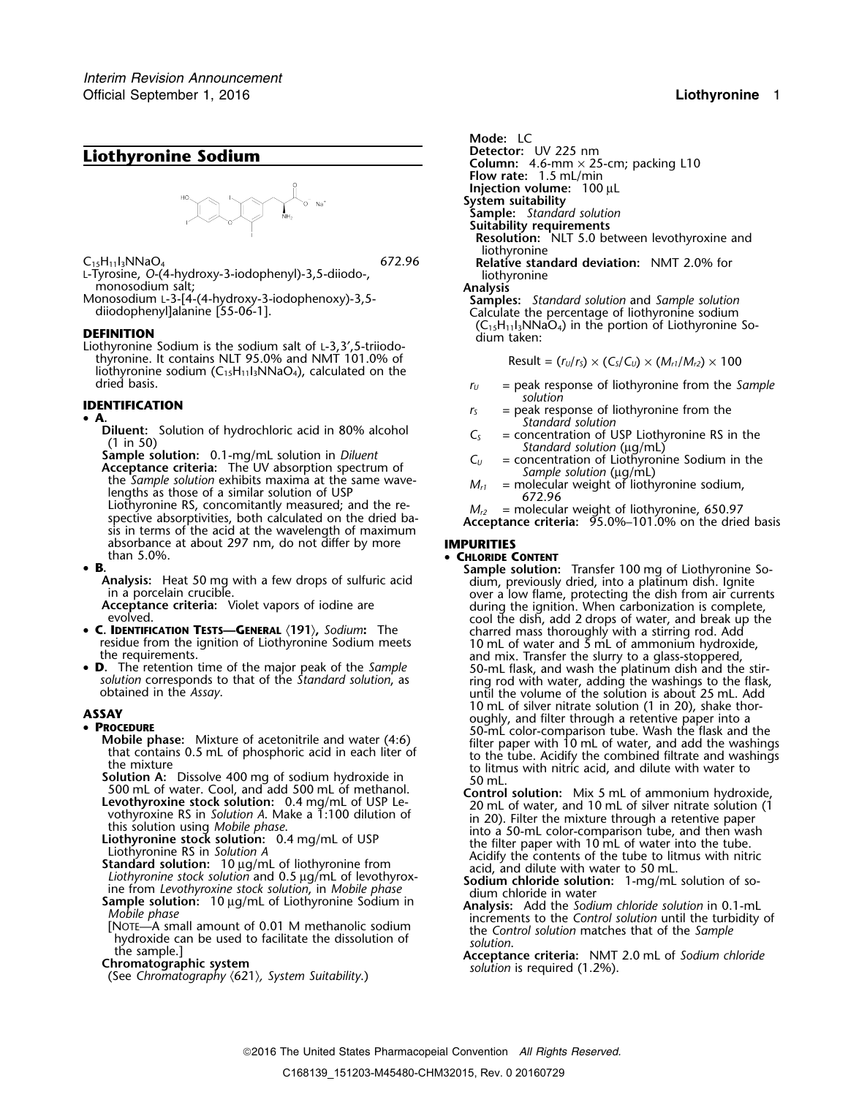

**DEFINITION**<br>Liothyronine Sodium is the sodium salt of L-3,3',5-triiodo- dium taken: thyronine. It contains NLT 95.0% and NMT 101.0% of Result =  $(r_U/r_S) \times (C_S/C_U) \times (M_{r1}/M_{r2}) \times 100$ liothyronine sodium  $(C_{15}H_{11}I_3NNaO_4)$ , calculated on the dried basis.

• **A.** Diluent: Solution of hydrochloric acid in 80% alcohol<br>
(1 in 50)<br> **Sample solution:** 0.1-mg/mL solution in *Diluent*<br> **Acceptance criteria:** The UV absorption spectrum of<br>
the *Sample solution* exhibits maxima at t absorbance at about 297 nm, do not differ by more **IMPURITIES** than 5.0%. •

• **B**.

• C. IDENTIFICATION TESTS-GENERAL (191), Sodium: The

• D. The retention time of the major peak of the Sample

- 
- 
- 
- 
- 
- 
- 

*.* **Mode:** LC **Liothyronine Sodium**<br> **Column:** 4.6-mm × 25-cm; packing L10 **Flow rate:** 1.5 mL/min **Injection volume:** 100 µL **System suitability Sample:** *Standard solution* **Suitability requirements Resolution:** NLT 5.0 between levothyroxine and<br>liothyronine C<sub>15</sub>H<sub>11</sub>I<sub>3</sub>NNaO<sub>4</sub><br>L-Tyrosine, O-(4-hydroxy-3-iodophenyl)-3,5-diiodo-, **Relative standard deviation:** NMT 2.0% for L-Tyrosine, O-(4-hydroxy-3-iodophenyl)-3,5-diiodo-,<br>
monosodium salt;<br>
Monosodium L-3-[4-(4-hydroxy-3-iodophenoxy)-3,5-<br>
diiodophenyl]alanine [55-06-1].<br> **Analysis**<br> **Analysis**<br> **Samples:** Standard solution and Sample sol

- $r_U$  = peak response of liothyronine from the *Sample*<br>solution
- **IDENTIFICATION**<br>
 **A**. **Figure 4 is the standard** *r***<sub>S</sub>** = peak response of liothyronine from the *Standard solution* 
	-
	-
	-

# **CHLORIDE CONTENT**

- **Sample solution:** Transfer 100 mg of Liothyronine So-<br> **Analysis:** Heat 50 mg with a few drops of sulfuric acid<br>
in a porcelain crucible.<br> **Acceptance criteria:** Violet vapors of iodine are<br> **Acceptance criteria:** Violet residue from the ignition of Liothyronine Sodium meets<br>the requirements.<br> **D.** The retention time of the major peak of the *Sample*<br> **D.** The retention time of the major peak of the *Sample*<br>
30-mL flask, and wash the plat solution corresponds to that of the *Standard solution*, as ring rod with water, adding the washings to the flask,<br>obtained in the Assay.<br>10 mL of silver nitrate solution (1 in 20), shake thor-10 mL of silver intrate solution (1 in 20), shake thor-<br> **PROCEDURE**<br> **ASSAY** oughly, and filter through a retentive paper into a<br>
Mobile phase: Mixture of acetonitrile and water (4:6)<br>
that contains 0.5 mL of phosphoric a
- **PROCEDURE**<br> **PROCENCIBITER PROCESUAL SOME CONFIGUATION (SOME CONFIGUATION CONFIGUATION (SOMET CONFIGUATION CONFIGUATION (1) THE SOMET CONFIGUATION (1) THE SOMET COOL AND THE TRIGGALL THE MANNIFIG AND CONFIGUATION (LOWELL** 
	-
	-
	-